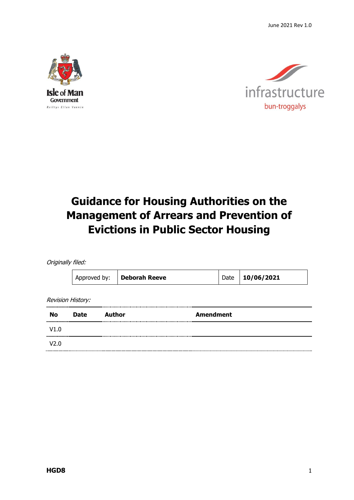June 2021 Rev 1.0





# **Guidance for Housing Authorities on the Management of Arrears and Prevention of Evictions in Public Sector Housing**

Originally filed:

| Approved by: | <b>Deborah Reeve</b> | Date   10/06/2021 |
|--------------|----------------------|-------------------|
|              |                      |                   |

Revision History:

| <br><b>No</b><br>,,,,,,,,,,,,,,,,,, | <b>Date</b> | Author | <b>Amendment</b> |
|-------------------------------------|-------------|--------|------------------|
| V1.0                                |             |        |                  |
| V2.0                                |             |        |                  |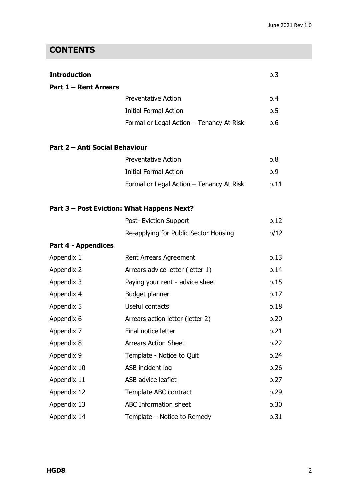### **CONTENTS**

| <b>Introduction</b>            |                                            | p.3  |
|--------------------------------|--------------------------------------------|------|
| <b>Part 1 - Rent Arrears</b>   |                                            |      |
|                                | <b>Preventative Action</b>                 | p.4  |
|                                | <b>Initial Formal Action</b>               | p.5  |
|                                | Formal or Legal Action - Tenancy At Risk   | p.6  |
| Part 2 - Anti Social Behaviour |                                            |      |
|                                | <b>Preventative Action</b>                 | p.8  |
|                                | <b>Initial Formal Action</b>               | p.9  |
|                                | Formal or Legal Action - Tenancy At Risk   | p.11 |
|                                | Part 3 – Post Eviction: What Happens Next? |      |
|                                | Post- Eviction Support                     | p.12 |
|                                | Re-applying for Public Sector Housing      | p/12 |
| <b>Part 4 - Appendices</b>     |                                            |      |
| Appendix 1                     | Rent Arrears Agreement                     | p.13 |
| Appendix 2                     | Arrears advice letter (letter 1)           | p.14 |
| Appendix 3                     | Paying your rent - advice sheet            | p.15 |
| Appendix 4                     | Budget planner                             | p.17 |
| Appendix 5                     | Useful contacts                            | p.18 |
| Appendix 6                     | Arrears action letter (letter 2)           | p.20 |
| Appendix 7                     | Final notice letter                        | p.21 |
| Appendix 8                     | <b>Arrears Action Sheet</b>                | p.22 |
| Appendix 9                     | Template - Notice to Quit                  | p.24 |
| Appendix 10                    | ASB incident log                           | p.26 |
| Appendix 11                    | ASB advice leaflet                         | p.27 |
| Appendix 12                    | Template ABC contract                      | p.29 |
| Appendix 13                    | <b>ABC Information sheet</b>               | p.30 |
| Appendix 14                    | Template – Notice to Remedy                | p.31 |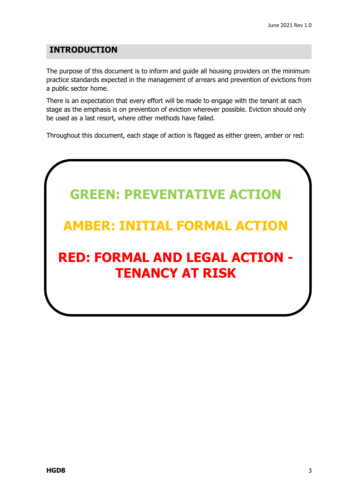### **INTRODUCTION**

The purpose of this document is to inform and guide all housing providers on the minimum practice standards expected in the management of arrears and prevention of evictions from a public sector home.

There is an expectation that every effort will be made to engage with the tenant at each stage as the emphasis is on prevention of eviction wherever possible. Eviction should only be used as a last resort, where other methods have failed.

Throughout this document, each stage of action is flagged as either green, amber or red:

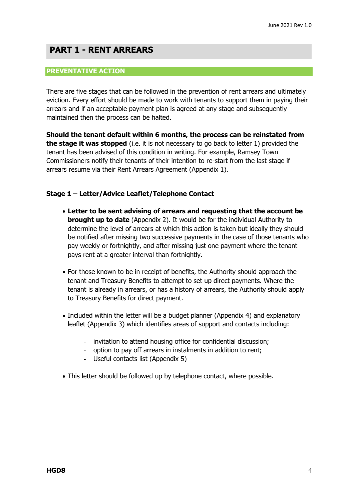### **PART 1 - RENT ARREARS**

#### **PREVENTATIVE ACTION**

There are five stages that can be followed in the prevention of rent arrears and ultimately eviction. Every effort should be made to work with tenants to support them in paying their arrears and if an acceptable payment plan is agreed at any stage and subsequently maintained then the process can be halted.

**Should the tenant default within 6 months, the process can be reinstated from the stage it was stopped** (i.e. it is not necessary to go back to letter 1) provided the tenant has been advised of this condition in writing. For example, Ramsey Town Commissioners notify their tenants of their intention to re-start from the last stage if arrears resume via their Rent Arrears Agreement (Appendix 1).

#### **Stage 1 – Letter/Advice Leaflet/Telephone Contact**

- **Letter to be sent advising of arrears and requesting that the account be brought up to date** (Appendix 2). It would be for the individual Authority to determine the level of arrears at which this action is taken but ideally they should be notified after missing two successive payments in the case of those tenants who pay weekly or fortnightly, and after missing just one payment where the tenant pays rent at a greater interval than fortnightly.
- For those known to be in receipt of benefits, the Authority should approach the tenant and Treasury Benefits to attempt to set up direct payments. Where the tenant is already in arrears, or has a history of arrears, the Authority should apply to Treasury Benefits for direct payment.
- Included within the letter will be a budget planner (Appendix 4) and explanatory leaflet (Appendix 3) which identifies areas of support and contacts including:
	- invitation to attend housing office for confidential discussion;
	- option to pay off arrears in instalments in addition to rent;
	- Useful contacts list (Appendix 5)
- This letter should be followed up by telephone contact, where possible.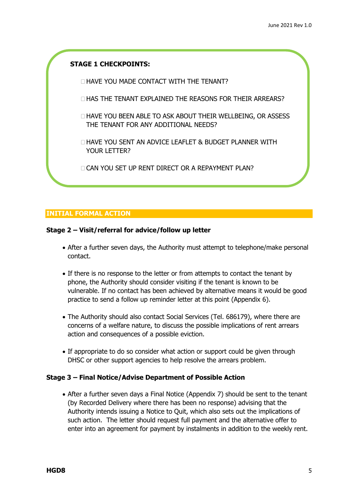#### **STAGE 1 CHECKPOINTS:**

- HAVE YOU MADE CONTACT WITH THE TENANT?
- $\Box$  HAS THE TENANT EXPLAINED THE REASONS FOR THEIR ARREARS?
- HAVE YOU BEEN ABLE TO ASK ABOUT THEIR WELLBEING, OR ASSESS THE TENANT FOR ANY ADDITIONAL NEEDS?
- HAVE YOU SENT AN ADVICE LEAFLET & BUDGET PLANNER WITH YOUR LETTER?
- **CAN YOU SET UP RENT DIRECT OR A REPAYMENT PLAN?**

#### **INITIAL FORMAL ACTION**

#### **Stage 2 – Visit/referral for advice/follow up letter**

- After a further seven days, the Authority must attempt to telephone/make personal contact.
- If there is no response to the letter or from attempts to contact the tenant by phone, the Authority should consider visiting if the tenant is known to be vulnerable. If no contact has been achieved by alternative means it would be good practice to send a follow up reminder letter at this point (Appendix 6).
- The Authority should also contact Social Services (Tel. 686179), where there are concerns of a welfare nature, to discuss the possible implications of rent arrears action and consequences of a possible eviction.
- If appropriate to do so consider what action or support could be given through DHSC or other support agencies to help resolve the arrears problem.

#### **Stage 3 – Final Notice/Advise Department of Possible Action**

 After a further seven days a Final Notice (Appendix 7) should be sent to the tenant (by Recorded Delivery where there has been no response) advising that the Authority intends issuing a Notice to Quit, which also sets out the implications of such action. The letter should request full payment and the alternative offer to enter into an agreement for payment by instalments in addition to the weekly rent.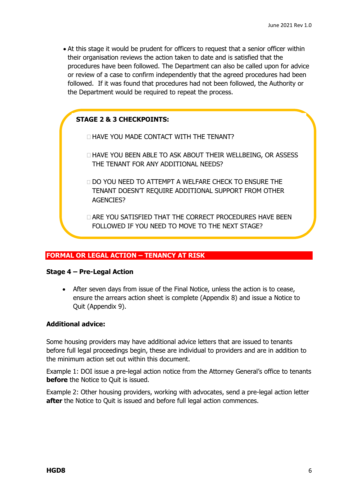At this stage it would be prudent for officers to request that a senior officer within their organisation reviews the action taken to date and is satisfied that the procedures have been followed. The Department can also be called upon for advice or review of a case to confirm independently that the agreed procedures had been followed. If it was found that procedures had not been followed, the Authority or the Department would be required to repeat the process.

#### **STAGE 2 & 3 CHECKPOINTS:**

HAVE YOU MADE CONTACT WITH THE TENANT?

- HAVE YOU BEEN ABLE TO ASK ABOUT THEIR WELLBEING, OR ASSESS THE TENANT FOR ANY ADDITIONAL NEEDS?
- DO YOU NEED TO ATTEMPT A WELFARE CHECK TO ENSURE THE TENANT DOESN'T REQUIRE ADDITIONAL SUPPORT FROM OTHER AGENCIES?
- ARE YOU SATISFIED THAT THE CORRECT PROCEDURES HAVE BEEN FOLLOWED IF YOU NEED TO MOVE TO THE NEXT STAGE?

#### **FORMAL OR LEGAL ACTION – TENANCY AT RISK**

#### **Stage 4 – Pre-Legal Action**

 After seven days from issue of the Final Notice, unless the action is to cease, ensure the arrears action sheet is complete (Appendix 8) and issue a Notice to Quit (Appendix 9).

#### **Additional advice:**

Some housing providers may have additional advice letters that are issued to tenants before full legal proceedings begin, these are individual to providers and are in addition to the minimum action set out within this document.

Example 1: DOI issue a pre-legal action notice from the Attorney General's office to tenants **before** the Notice to Quit is issued.

Example 2: Other housing providers, working with advocates, send a pre-legal action letter **after** the Notice to Quit is issued and before full legal action commences.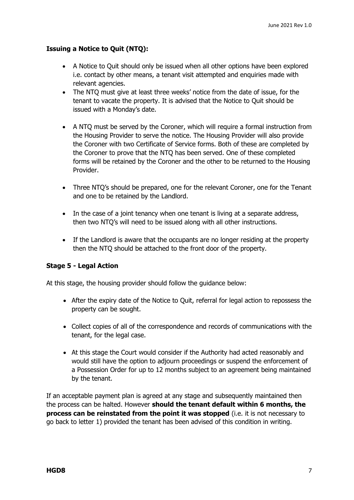#### **Issuing a Notice to Quit (NTQ):**

- A Notice to Quit should only be issued when all other options have been explored i.e. contact by other means, a tenant visit attempted and enquiries made with relevant agencies.
- The NTQ must give at least three weeks' notice from the date of issue, for the tenant to vacate the property. It is advised that the Notice to Quit should be issued with a Monday's date.
- A NTQ must be served by the Coroner, which will require a formal instruction from the Housing Provider to serve the notice. The Housing Provider will also provide the Coroner with two Certificate of Service forms. Both of these are completed by the Coroner to prove that the NTQ has been served. One of these completed forms will be retained by the Coroner and the other to be returned to the Housing Provider.
- Three NTO's should be prepared, one for the relevant Coroner, one for the Tenant and one to be retained by the Landlord.
- In the case of a joint tenancy when one tenant is living at a separate address, then two NTQ's will need to be issued along with all other instructions.
- If the Landlord is aware that the occupants are no longer residing at the property then the NTQ should be attached to the front door of the property.

#### **Stage 5 - Legal Action**

At this stage, the housing provider should follow the guidance below:

- After the expiry date of the Notice to Quit, referral for legal action to repossess the property can be sought.
- Collect copies of all of the correspondence and records of communications with the tenant, for the legal case.
- At this stage the Court would consider if the Authority had acted reasonably and would still have the option to adjourn proceedings or suspend the enforcement of a Possession Order for up to 12 months subject to an agreement being maintained by the tenant.

If an acceptable payment plan is agreed at any stage and subsequently maintained then the process can be halted. However **should the tenant default within 6 months, the process can be reinstated from the point it was stopped** (i.e. it is not necessary to go back to letter 1) provided the tenant has been advised of this condition in writing.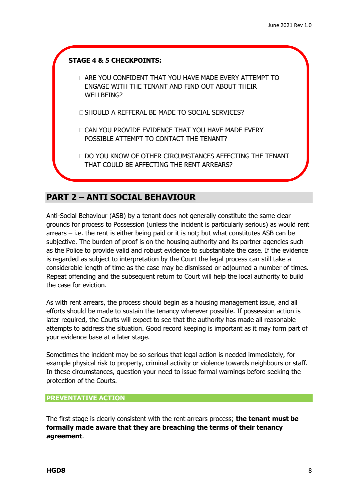

### **PART 2 – ANTI SOCIAL BEHAVIOUR**

Anti-Social Behaviour (ASB) by a tenant does not generally constitute the same clear grounds for process to Possession (unless the incident is particularly serious) as would rent arrears – i.e. the rent is either being paid or it is not; but what constitutes ASB can be subjective. The burden of proof is on the housing authority and its partner agencies such as the Police to provide valid and robust evidence to substantiate the case. If the evidence is regarded as subject to interpretation by the Court the legal process can still take a considerable length of time as the case may be dismissed or adjourned a number of times. Repeat offending and the subsequent return to Court will help the local authority to build the case for eviction.

As with rent arrears, the process should begin as a housing management issue, and all efforts should be made to sustain the tenancy wherever possible. If possession action is later required, the Courts will expect to see that the authority has made all reasonable attempts to address the situation. Good record keeping is important as it may form part of your evidence base at a later stage.

Sometimes the incident may be so serious that legal action is needed immediately, for example physical risk to property, criminal activity or violence towards neighbours or staff. In these circumstances, question your need to issue formal warnings before seeking the protection of the Courts.

#### **PREVENTATIVE ACTION**

The first stage is clearly consistent with the rent arrears process; **the tenant must be formally made aware that they are breaching the terms of their tenancy agreement**.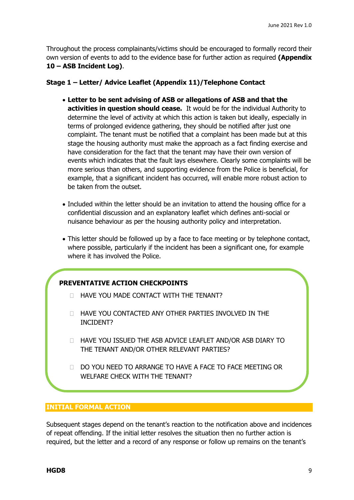Throughout the process complainants/victims should be encouraged to formally record their own version of events to add to the evidence base for further action as required **(Appendix 10 – ASB Incident Log)**.

#### **Stage 1 – Letter/ Advice Leaflet (Appendix 11)/Telephone Contact**

- **Letter to be sent advising of ASB or allegations of ASB and that the activities in question should cease.** It would be for the individual Authority to determine the level of activity at which this action is taken but ideally, especially in terms of prolonged evidence gathering, they should be notified after just one complaint. The tenant must be notified that a complaint has been made but at this stage the housing authority must make the approach as a fact finding exercise and have consideration for the fact that the tenant may have their own version of events which indicates that the fault lays elsewhere. Clearly some complaints will be more serious than others, and supporting evidence from the Police is beneficial, for example, that a significant incident has occurred, will enable more robust action to be taken from the outset.
- Included within the letter should be an invitation to attend the housing office for a confidential discussion and an explanatory leaflet which defines anti-social or nuisance behaviour as per the housing authority policy and interpretation.
- This letter should be followed up by a face to face meeting or by telephone contact, where possible, particularly if the incident has been a significant one, for example where it has involved the Police.

#### **PREVENTATIVE ACTION CHECKPOINTS**

- **HAVE YOU MADE CONTACT WITH THE TENANT?**
- HAVE YOU CONTACTED ANY OTHER PARTIES INVOLVED IN THE INCIDENT?
- D HAVE YOU ISSUED THE ASB ADVICE LEAFLET AND/OR ASB DIARY TO THE TENANT AND/OR OTHER RELEVANT PARTIES?
- DO YOU NEED TO ARRANGE TO HAVE A FACE TO FACE MEETING OR WELFARE CHECK WITH THE TENANT?

#### **INITIAL FORMAL ACTION**

Subsequent stages depend on the tenant's reaction to the notification above and incidences of repeat offending. If the initial letter resolves the situation then no further action is required, but the letter and a record of any response or follow up remains on the tenant's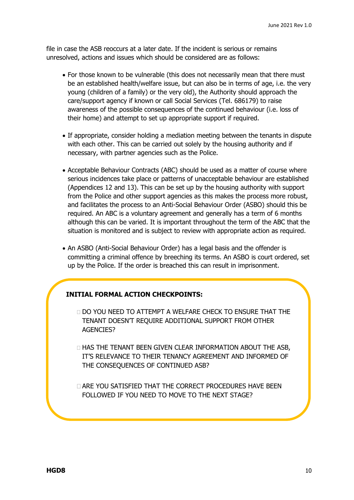file in case the ASB reoccurs at a later date. If the incident is serious or remains unresolved, actions and issues which should be considered are as follows:

- For those known to be vulnerable (this does not necessarily mean that there must be an established health/welfare issue, but can also be in terms of age, i.e. the very young (children of a family) or the very old), the Authority should approach the care/support agency if known or call Social Services (Tel. 686179) to raise awareness of the possible consequences of the continued behaviour (i.e. loss of their home) and attempt to set up appropriate support if required.
- If appropriate, consider holding a mediation meeting between the tenants in dispute with each other. This can be carried out solely by the housing authority and if necessary, with partner agencies such as the Police.
- Acceptable Behaviour Contracts (ABC) should be used as a matter of course where serious incidences take place or patterns of unacceptable behaviour are established (Appendices 12 and 13). This can be set up by the housing authority with support from the Police and other support agencies as this makes the process more robust, and facilitates the process to an Anti-Social Behaviour Order (ASBO) should this be required. An ABC is a voluntary agreement and generally has a term of 6 months although this can be varied. It is important throughout the term of the ABC that the situation is monitored and is subject to review with appropriate action as required.
- An ASBO (Anti-Social Behaviour Order) has a legal basis and the offender is committing a criminal offence by breeching its terms. An ASBO is court ordered, set up by the Police. If the order is breached this can result in imprisonment.

#### **INITIAL FORMAL ACTION CHECKPOINTS:**

- DO YOU NEED TO ATTEMPT A WELFARE CHECK TO ENSURE THAT THE TENANT DOESN'T REQUIRE ADDITIONAL SUPPORT FROM OTHER AGENCIES?
- HAS THE TENANT BEEN GIVEN CLEAR INFORMATION ABOUT THE ASB, IT'S RELEVANCE TO THEIR TENANCY AGREEMENT AND INFORMED OF THE CONSEQUENCES OF CONTINUED ASB?

**LARE YOU SATISFIED THAT THE CORRECT PROCEDURES HAVE BEEN** FOLLOWED IF YOU NEED TO MOVE TO THE NEXT STAGE?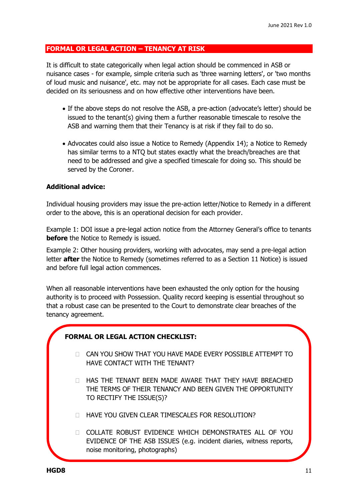#### **FORMAL OR LEGAL ACTION – TENANCY AT RISK**

It is difficult to state categorically when legal action should be commenced in ASB or nuisance cases - for example, simple criteria such as 'three warning letters', or 'two months of loud music and nuisance', etc. may not be appropriate for all cases. Each case must be decided on its seriousness and on how effective other interventions have been.

- If the above steps do not resolve the ASB, a pre-action (advocate's letter) should be issued to the tenant(s) giving them a further reasonable timescale to resolve the ASB and warning them that their Tenancy is at risk if they fail to do so.
- Advocates could also issue a Notice to Remedy (Appendix 14); a Notice to Remedy has similar terms to a NTQ but states exactly what the breach/breaches are that need to be addressed and give a specified timescale for doing so. This should be served by the Coroner.

#### **Additional advice:**

Individual housing providers may issue the pre-action letter/Notice to Remedy in a different order to the above, this is an operational decision for each provider.

Example 1: DOI issue a pre-legal action notice from the Attorney General's office to tenants **before** the Notice to Remedy is issued.

Example 2: Other housing providers, working with advocates, may send a pre-legal action letter **after** the Notice to Remedy (sometimes referred to as a Section 11 Notice) is issued and before full legal action commences.

When all reasonable interventions have been exhausted the only option for the housing authority is to proceed with Possession. Quality record keeping is essential throughout so that a robust case can be presented to the Court to demonstrate clear breaches of the tenancy agreement.

#### **FORMAL OR LEGAL ACTION CHECKLIST:**

- CAN YOU SHOW THAT YOU HAVE MADE EVERY POSSIBLE ATTEMPT TO HAVE CONTACT WITH THE TENANT?
- **T HAS THE TENANT BEEN MADE AWARE THAT THEY HAVE BREACHED** THE TERMS OF THEIR TENANCY AND BEEN GIVEN THE OPPORTUNITY TO RECTIFY THE ISSUE(S)?
- **THAVE YOU GIVEN CLEAR TIMESCALES FOR RESOLUTION?**
- COLLATE ROBUST EVIDENCE WHICH DEMONSTRATES ALL OF YOU EVIDENCE OF THE ASB ISSUES (e.g. incident diaries, witness reports, noise monitoring, photographs)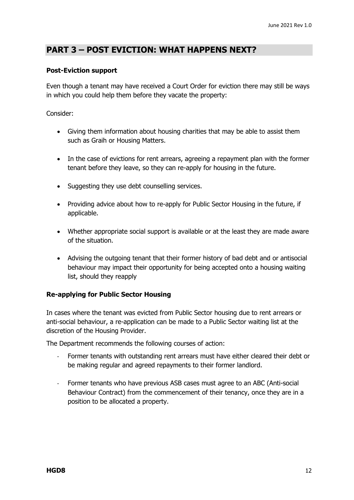### **PART 3 – POST EVICTION: WHAT HAPPENS NEXT?**

#### **Post-Eviction support**

Even though a tenant may have received a Court Order for eviction there may still be ways in which you could help them before they vacate the property:

#### Consider:

- Giving them information about housing charities that may be able to assist them such as Graih or Housing Matters.
- In the case of evictions for rent arrears, agreeing a repayment plan with the former tenant before they leave, so they can re-apply for housing in the future.
- Suggesting they use debt counselling services.
- Providing advice about how to re-apply for Public Sector Housing in the future, if applicable.
- Whether appropriate social support is available or at the least they are made aware of the situation.
- Advising the outgoing tenant that their former history of bad debt and or antisocial behaviour may impact their opportunity for being accepted onto a housing waiting list, should they reapply

#### **Re-applying for Public Sector Housing**

In cases where the tenant was evicted from Public Sector housing due to rent arrears or anti-social behaviour, a re-application can be made to a Public Sector waiting list at the discretion of the Housing Provider.

The Department recommends the following courses of action:

- Former tenants with outstanding rent arrears must have either cleared their debt or be making regular and agreed repayments to their former landlord.
- Former tenants who have previous ASB cases must agree to an ABC (Anti-social Behaviour Contract) from the commencement of their tenancy, once they are in a position to be allocated a property.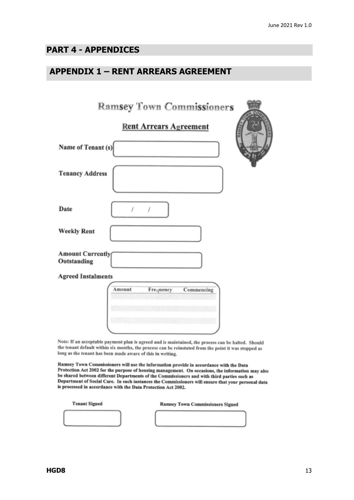### **PART 4 - APPENDICES**

### **APPENDIX 1 – RENT ARREARS AGREEMENT**

| <b>Ramsey Town Commissioners</b>                                                                                                                                                                                                                                                                                                                                                                                                                                  |
|-------------------------------------------------------------------------------------------------------------------------------------------------------------------------------------------------------------------------------------------------------------------------------------------------------------------------------------------------------------------------------------------------------------------------------------------------------------------|
| <b>Rent Arrears Agreement</b>                                                                                                                                                                                                                                                                                                                                                                                                                                     |
| Name of Tenant (s)                                                                                                                                                                                                                                                                                                                                                                                                                                                |
| <b>Tenancy Address</b>                                                                                                                                                                                                                                                                                                                                                                                                                                            |
| Date                                                                                                                                                                                                                                                                                                                                                                                                                                                              |
| <b>Weekly Rent</b>                                                                                                                                                                                                                                                                                                                                                                                                                                                |
| <b>Amount Currently</b><br>Outstanding                                                                                                                                                                                                                                                                                                                                                                                                                            |
| <b>Agreed Instalments</b>                                                                                                                                                                                                                                                                                                                                                                                                                                         |
| Amount<br>Commencing<br>Frequency                                                                                                                                                                                                                                                                                                                                                                                                                                 |
| Note: If an acceptable payment plan is agreed and is maintained, the process can be halted. Should<br>the tenant default within six months, the process can be reinstated from the point it was stopped as<br>long as the tenant has been made aware of this in writing.                                                                                                                                                                                          |
| Ramsey Town Commissioners will use the information provide in accordance with the Data<br>Protection Act 2002 for the purpose of housing management. On occasions, the information may also<br>be shared between different Departments of the Commissioners and with third parties such as<br>Department of Social Care. In such instances the Commissioners will ensure that your personal data<br>is processed in accordance with the Data Protection Act 2002. |

| <b>Tenant Signed</b> | <b>Ramsey Town Commissioners Signed</b> |
|----------------------|-----------------------------------------|
|                      |                                         |
|                      |                                         |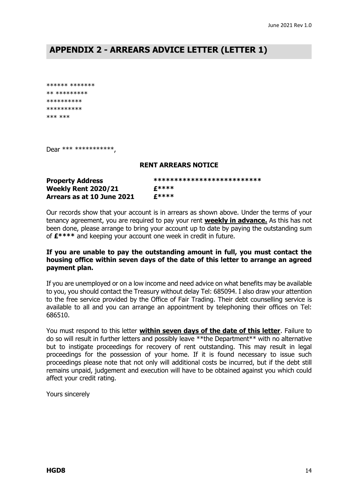### **APPENDIX 2 - ARREARS ADVICE LETTER (LETTER 1)**

```
****** *******
** *********
**********
**********
*** ***
```
Dear \*\*\* \*\*\*\*\*\*\*\*\*\*\*\*

#### **RENT ARREARS NOTICE**

| <b>Property Address</b>    | ************************** |
|----------------------------|----------------------------|
| <b>Weekly Rent 2020/21</b> | $f****$                    |
| Arrears as at 10 June 2021 | £****                      |

Our records show that your account is in arrears as shown above. Under the terms of your tenancy agreement, you are required to pay your rent **weekly in advance.** As this has not been done, please arrange to bring your account up to date by paying the outstanding sum of **£\*\*\*\*** and keeping your account one week in credit in future.

#### **If you are unable to pay the outstanding amount in full, you must contact the housing office within seven days of the date of this letter to arrange an agreed payment plan.**

If you are unemployed or on a low income and need advice on what benefits may be available to you, you should contact the Treasury without delay Tel: 685094. I also draw your attention to the free service provided by the Office of Fair Trading. Their debt counselling service is available to all and you can arrange an appointment by telephoning their offices on Tel: 686510.

You must respond to this letter **within seven days of the date of this letter**. Failure to do so will result in further letters and possibly leave \*\*the Department\*\* with no alternative but to instigate proceedings for recovery of rent outstanding. This may result in legal proceedings for the possession of your home. If it is found necessary to issue such proceedings please note that not only will additional costs be incurred, but if the debt still remains unpaid, judgement and execution will have to be obtained against you which could affect your credit rating.

Yours sincerely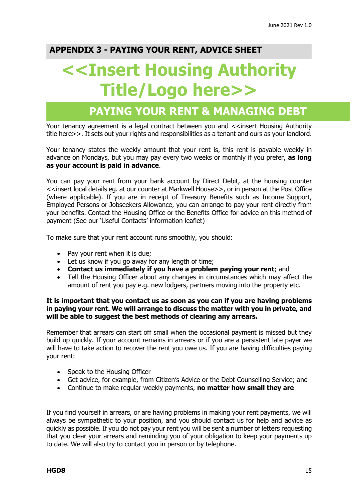### **APPENDIX 3 - PAYING YOUR RENT, ADVICE SHEET**

# **<<Insert Housing Authority Title/Logo here>>**

# **PAYING YOUR RENT & MANAGING DEBT**

Your tenancy agreement is a legal contract between you and <<insert Housing Authority title here>>. It sets out your rights and responsibilities as a tenant and ours as your landlord.

Your tenancy states the weekly amount that your rent is, this rent is payable weekly in advance on Mondays, but you may pay every two weeks or monthly if you prefer, **as long as your account is paid in advance**.

You can pay your rent from your bank account by Direct Debit, at the housing counter <<insert local details eg. at our counter at Markwell House>>, or in person at the Post Office (where applicable). If you are in receipt of Treasury Benefits such as Income Support, Employed Persons or Jobseekers Allowance, you can arrange to pay your rent directly from your benefits. Contact the Housing Office or the Benefits Office for advice on this method of payment (See our 'Useful Contacts' information leaflet)

To make sure that your rent account runs smoothly, you should:

- Pay your rent when it is due:
- Let us know if you go away for any length of time;
- **Contact us immediately if you have a problem paying your rent**; and
- Tell the Housing Officer about any changes in circumstances which may affect the amount of rent you pay e.g. new lodgers, partners moving into the property etc.

#### **It is important that you contact us as soon as you can if you are having problems in paying your rent. We will arrange to discuss the matter with you in private, and will be able to suggest the best methods of clearing any arrears.**

Remember that arrears can start off small when the occasional payment is missed but they build up quickly. If your account remains in arrears or if you are a persistent late payer we will have to take action to recover the rent you owe us. If you are having difficulties paying your rent:

- Speak to the Housing Officer
- Get advice, for example, from Citizen's Advice or the Debt Counselling Service; and
- Continue to make regular weekly payments, **no matter how small they are**

If you find yourself in arrears, or are having problems in making your rent payments, we will always be sympathetic to your position, and you should contact us for help and advice as quickly as possible. If you do not pay your rent you will be sent a number of letters requesting that you clear your arrears and reminding you of your obligation to keep your payments up to date. We will also try to contact you in person or by telephone.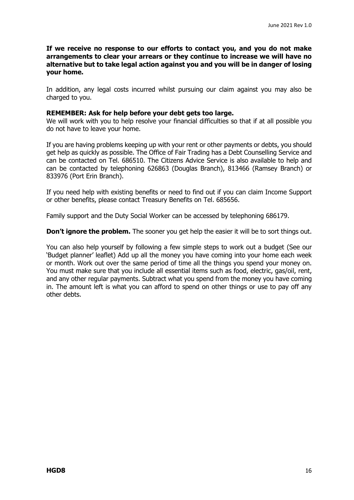**If we receive no response to our efforts to contact you, and you do not make arrangements to clear your arrears or they continue to increase we will have no alternative but to take legal action against you and you will be in danger of losing your home.** 

In addition, any legal costs incurred whilst pursuing our claim against you may also be charged to you.

#### **REMEMBER: Ask for help before your debt gets too large.**

We will work with you to help resolve your financial difficulties so that if at all possible you do not have to leave your home.

If you are having problems keeping up with your rent or other payments or debts, you should get help as quickly as possible. The Office of Fair Trading has a Debt Counselling Service and can be contacted on Tel. 686510. The Citizens Advice Service is also available to help and can be contacted by telephoning 626863 (Douglas Branch), 813466 (Ramsey Branch) or 833976 (Port Erin Branch).

If you need help with existing benefits or need to find out if you can claim Income Support or other benefits, please contact Treasury Benefits on Tel. 685656.

Family support and the Duty Social Worker can be accessed by telephoning 686179.

**Don't ignore the problem.** The sooner you get help the easier it will be to sort things out.

You can also help yourself by following a few simple steps to work out a budget (See our 'Budget planner' leaflet) Add up all the money you have coming into your home each week or month. Work out over the same period of time all the things you spend your money on. You must make sure that you include all essential items such as food, electric, gas/oil, rent, and any other regular payments. Subtract what you spend from the money you have coming in. The amount left is what you can afford to spend on other things or use to pay off any other debts.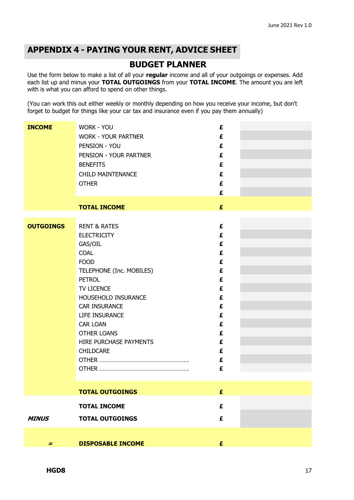### **APPENDIX 4 - PAYING YOUR RENT, ADVICE SHEET**

### **BUDGET PLANNER**

Use the form below to make a list of all your **regular** income and all of your outgoings or expenses. Add each list up and minus your **TOTAL OUTGOINGS** from your **TOTAL INCOME**. The amount you are left with is what you can afford to spend on other things.

(You can work this out either weekly or monthly depending on how you receive your income, but don't forget to budget for things like your car tax and insurance even if you pay them annually)

| <b>INCOME</b>    | <b>WORK - YOU</b>                         | £ |  |
|------------------|-------------------------------------------|---|--|
|                  | <b>WORK - YOUR PARTNER</b>                | £ |  |
|                  | PENSION - YOU                             | £ |  |
|                  | PENSION - YOUR PARTNER                    | £ |  |
|                  | <b>BENEFITS</b>                           | £ |  |
|                  | <b>CHILD MAINTENANCE</b>                  | £ |  |
|                  |                                           |   |  |
|                  | <b>OTHER</b>                              | £ |  |
|                  |                                           | £ |  |
|                  | <b>TOTAL INCOME</b>                       | £ |  |
|                  |                                           |   |  |
| <b>OUTGOINGS</b> | <b>RENT &amp; RATES</b>                   | £ |  |
|                  | <b>ELECTRICITY</b>                        | £ |  |
|                  | GAS/OIL                                   | £ |  |
|                  | <b>COAL</b>                               | £ |  |
|                  | <b>FOOD</b>                               | £ |  |
|                  |                                           | £ |  |
|                  | TELEPHONE (Inc. MOBILES)<br><b>PETROL</b> | £ |  |
|                  |                                           |   |  |
|                  | TV LICENCE                                | £ |  |
|                  | HOUSEHOLD INSURANCE                       | £ |  |
|                  | <b>CAR INSURANCE</b>                      | £ |  |
|                  | LIFE INSURANCE                            | £ |  |
|                  | <b>CAR LOAN</b>                           | £ |  |
|                  | <b>OTHER LOANS</b>                        | £ |  |
|                  | HIRE PURCHASE PAYMENTS                    | £ |  |
|                  | <b>CHILDCARE</b>                          | £ |  |
|                  |                                           | £ |  |
|                  |                                           | £ |  |
|                  |                                           |   |  |
|                  | <b>TOTAL OUTGOINGS</b>                    | £ |  |
|                  | <b>TOTAL INCOME</b>                       | £ |  |
| <b>MINUS</b>     | <b>TOTAL OUTGOINGS</b>                    | £ |  |
|                  |                                           |   |  |
|                  |                                           |   |  |
| $=$              | <b>DISPOSABLE INCOME</b>                  | £ |  |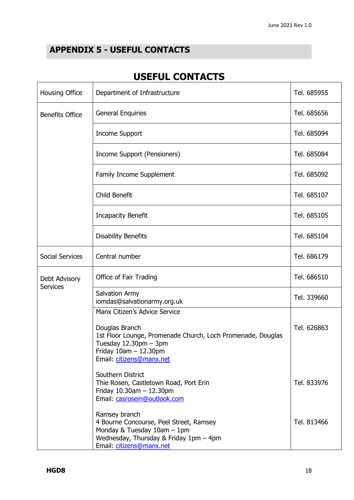### **APPENDIX 5 - USEFUL CONTACTS**

### **USEFUL CONTACTS**

| <b>Housing Office</b>            | Department of Infrastructure                                                                                                                                                                        | Tel. 685955 |
|----------------------------------|-----------------------------------------------------------------------------------------------------------------------------------------------------------------------------------------------------|-------------|
| <b>Benefits Office</b>           | <b>General Enquiries</b>                                                                                                                                                                            | Tel. 685656 |
|                                  | <b>Income Support</b>                                                                                                                                                                               | Tel. 685094 |
|                                  | Income Support (Pensioners)                                                                                                                                                                         | Tel. 685084 |
|                                  | <b>Family Income Supplement</b>                                                                                                                                                                     | Tel. 685092 |
|                                  | Child Benefit                                                                                                                                                                                       | Tel. 685107 |
|                                  | <b>Incapacity Benefit</b>                                                                                                                                                                           | Tel. 685105 |
|                                  | <b>Disability Benefits</b>                                                                                                                                                                          | Tel. 685104 |
| <b>Social Services</b>           | Central number                                                                                                                                                                                      | Tel. 686179 |
| Debt Advisory<br><b>Services</b> | Office of Fair Trading                                                                                                                                                                              | Tel. 686510 |
|                                  | Salvation Army<br>iomdas@salvationarmy.org.uk                                                                                                                                                       | Tel. 339660 |
|                                  | Manx Citizen's Advice Service<br>Douglas Branch<br>1st Floor Lounge, Promenade Church, Loch Promenade, Douglas<br>Tuesday $12.30$ pm $-3$ pm<br>Friday $10am - 12.30pm$<br>Email: citizens@manx.net | Tel. 626863 |
|                                  | Southern District<br>Thie Rosen, Castletown Road, Port Erin<br>Friday $10.30$ am $- 12.30$ pm<br>Email: casrosein@outlook.com                                                                       | Tel. 833976 |
|                                  | Ramsey branch<br>4 Bourne Concourse, Peel Street, Ramsey<br>Monday & Tuesday $10$ am $-1$ pm<br>Wednesday, Thursday & Friday 1pm - 4pm<br>Email: citizens@manx.net                                  | Tel. 813466 |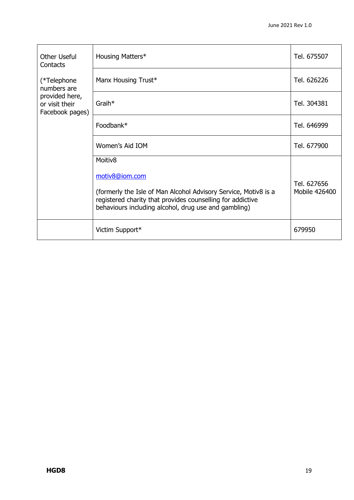| Other Useful<br>Contacts                            | Housing Matters*                                                                                                                                                                                        | Tel. 675507                  |
|-----------------------------------------------------|---------------------------------------------------------------------------------------------------------------------------------------------------------------------------------------------------------|------------------------------|
| (*Telephone<br>numbers are                          | Manx Housing Trust*                                                                                                                                                                                     | Tel. 626226                  |
| provided here,<br>or visit their<br>Facebook pages) | $G$ raih $*$                                                                                                                                                                                            | Tel. 304381                  |
|                                                     | Foodbank*                                                                                                                                                                                               | Tel. 646999                  |
|                                                     | Women's Aid IOM                                                                                                                                                                                         | Tel. 677900                  |
|                                                     | Moitiv <sub>8</sub>                                                                                                                                                                                     |                              |
|                                                     | motiv8@iom.com<br>(formerly the Isle of Man Alcohol Advisory Service, Motiv8 is a<br>registered charity that provides counselling for addictive<br>behaviours including alcohol, drug use and gambling) | Tel. 627656<br>Mobile 426400 |
|                                                     | Victim Support*                                                                                                                                                                                         | 679950                       |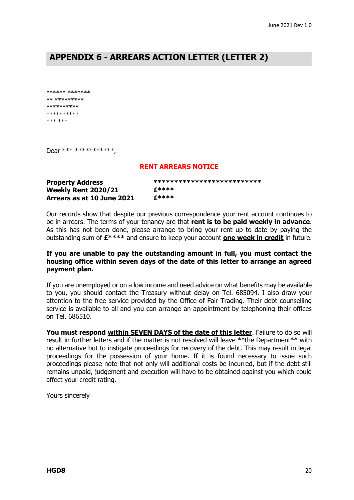### **APPENDIX 6 - ARREARS ACTION LETTER (LETTER 2)**

\*\*\*\*\*\* \*\*\*\*\*\*\* \*\* \*\*\*\*\*\*\*\*\* \*\*\*\*\*\*\*\*\*\* \*\*\*\*\*\*\*\*\*\* \*\*\* \*\*\*

Dear \*\*\* \*\*\*\*\*\*\*\*\*\*\*\*,

#### **RENT ARREARS NOTICE**

| <b>Property Address</b>    | ************************** |
|----------------------------|----------------------------|
| <b>Weekly Rent 2020/21</b> | £****                      |
| Arrears as at 10 June 2021 | <b>C****</b>               |

Our records show that despite our previous correspondence your rent account continues to be in arrears. The terms of your tenancy are that **rent is to be paid weekly in advance**. As this has not been done, please arrange to bring your rent up to date by paying the outstanding sum of **£\*\*\*\*** and ensure to keep your account **one week in credit** in future.

#### **If you are unable to pay the outstanding amount in full, you must contact the housing office within seven days of the date of this letter to arrange an agreed payment plan.**

If you are unemployed or on a low income and need advice on what benefits may be available to you, you should contact the Treasury without delay on Tel. 685094. I also draw your attention to the free service provided by the Office of Fair Trading. Their debt counselling service is available to all and you can arrange an appointment by telephoning their offices on Tel. 686510.

**You must respond within SEVEN DAYS of the date of this letter**. Failure to do so will result in further letters and if the matter is not resolved will leave \*\*the Department\*\* with no alternative but to instigate proceedings for recovery of the debt. This may result in legal proceedings for the possession of your home. If it is found necessary to issue such proceedings please note that not only will additional costs be incurred, but if the debt still remains unpaid, judgement and execution will have to be obtained against you which could affect your credit rating.

Yours sincerely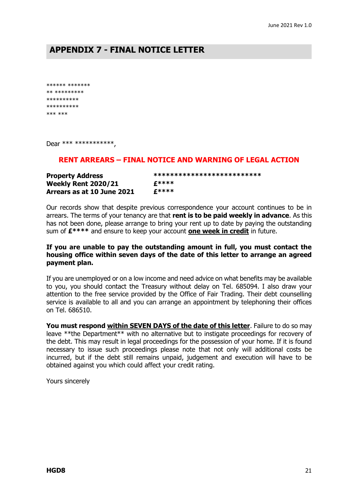### **APPENDIX 7 - FINAL NOTICE LETTER**

\*\*\*\*\*\* \*\*\*\*\*\*\* \*\* \*\*\*\*\*\*\*\*\* \*\*\*\*\*\*\*\*\*\* \*\*\*\*\*\*\*\*\*\* \*\*\* \*\*\*

Dear \*\*\* \*\*\*\*\*\*\*\*\*\*\*\*,

#### **RENT ARREARS – FINAL NOTICE AND WARNING OF LEGAL ACTION**

| <b>Property Address</b>    | ************************** |  |
|----------------------------|----------------------------|--|
| <b>Weekly Rent 2020/21</b> | £****                      |  |
| Arrears as at 10 June 2021 | £****                      |  |

Our records show that despite previous correspondence your account continues to be in arrears. The terms of your tenancy are that **rent is to be paid weekly in advance**. As this has not been done, please arrange to bring your rent up to date by paying the outstanding sum of **£\*\*\*\*** and ensure to keep your account **one week in credit** in future.

#### **If you are unable to pay the outstanding amount in full, you must contact the housing office within seven days of the date of this letter to arrange an agreed payment plan.**

If you are unemployed or on a low income and need advice on what benefits may be available to you, you should contact the Treasury without delay on Tel. 685094. I also draw your attention to the free service provided by the Office of Fair Trading. Their debt counselling service is available to all and you can arrange an appointment by telephoning their offices on Tel. 686510.

**You must respond within SEVEN DAYS of the date of this letter**. Failure to do so may leave \*\*the Department\*\* with no alternative but to instigate proceedings for recovery of the debt. This may result in legal proceedings for the possession of your home. If it is found necessary to issue such proceedings please note that not only will additional costs be incurred, but if the debt still remains unpaid, judgement and execution will have to be obtained against you which could affect your credit rating.

Yours sincerely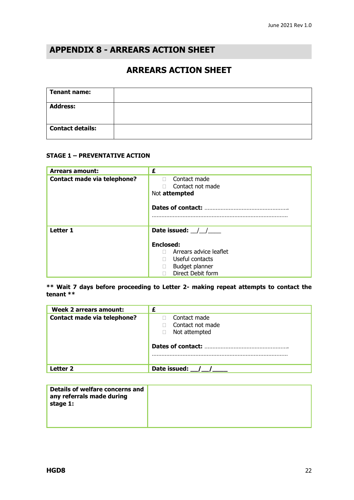### **APPENDIX 8 - ARREARS ACTION SHEET**

### **ARREARS ACTION SHEET**

| <b>Tenant name:</b>     |  |
|-------------------------|--|
| <b>Address:</b>         |  |
| <b>Contact details:</b> |  |

#### **STAGE 1 – PREVENTATIVE ACTION**

| <b>Arrears amount:</b>             | £                                                                                                    |  |  |
|------------------------------------|------------------------------------------------------------------------------------------------------|--|--|
| <b>Contact made via telephone?</b> | Contact made<br>П.<br>Contact not made<br>Not attempted<br>Dates of contact:                         |  |  |
| <b>Letter 1</b>                    | Date issued: $\frac{1}{2}$ /                                                                         |  |  |
|                                    | <b>Enclosed:</b><br>Arrears advice leaflet<br>Useful contacts<br>Budget planner<br>Direct Debit form |  |  |

**\*\* Wait 7 days before proceeding to Letter 2- making repeat attempts to contact the tenant \*\*** 

| <b>Week 2 arrears amount:</b>      | £                                |
|------------------------------------|----------------------------------|
| <b>Contact made via telephone?</b> | Contact made<br>Contact not made |
|                                    | Not attempted                    |
|                                    | Dates of contact:                |
| l etter 2                          | Date issued:                     |

| Details of welfare concerns and<br>any referrals made during<br>stage 1: |  |
|--------------------------------------------------------------------------|--|
|                                                                          |  |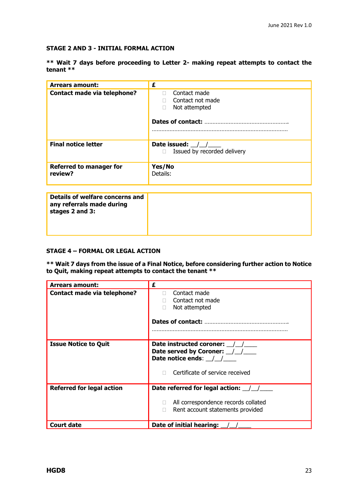#### **STAGE 2 AND 3 - INITIAL FORMAL ACTION**

|           |  | ** Wait 7 days before proceeding to Letter 2- making repeat attempts to contact the |  |  |  |  |  |
|-----------|--|-------------------------------------------------------------------------------------|--|--|--|--|--|
| tenant ** |  |                                                                                     |  |  |  |  |  |

| <b>Arrears amount:</b>                    | £                                                                           |
|-------------------------------------------|-----------------------------------------------------------------------------|
| Contact made via telephone?               | Contact made<br>п<br>Contact not made<br>Not attempted<br>Dates of contact: |
| <b>Final notice letter</b>                | Date issued: $\frac{1}{2}$<br>Issued by recorded delivery                   |
| <b>Referred to manager for</b><br>review? | Yes/No<br>Details:                                                          |
|                                           |                                                                             |

#### **STAGE 4 – FORMAL OR LEGAL ACTION**

#### **\*\* Wait 7 days from the issue of a Final Notice, before considering further action to Notice to Quit, making repeat attempts to contact the tenant \*\***

| <b>Arrears amount:</b>             | £                                                                                                                               |
|------------------------------------|---------------------------------------------------------------------------------------------------------------------------------|
| <b>Contact made via telephone?</b> | Contact made<br>П<br>Contact not made<br>Not attempted                                                                          |
| <b>Issue Notice to Quit</b>        | Date instructed coroner: / /<br>Date served by Coroner: 1.1.<br>Date notice ends: $\angle$ /<br>Certificate of service received |
| <b>Referred for legal action</b>   | Date referred for legal action: 1<br>All correspondence records collated<br>Rent account statements provided                    |
| <b>Court date</b>                  | Date of initial hearing:                                                                                                        |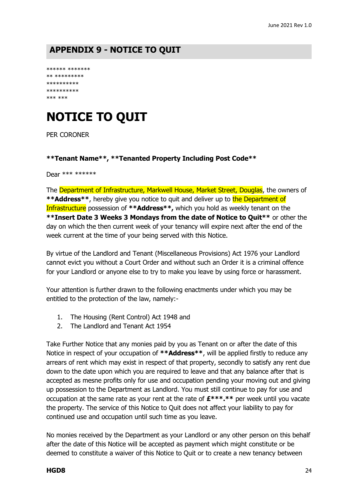### **APPENDIX 9 - NOTICE TO QUIT**

```
****** *******
** *********
**********
**********
*** ***
```
# **NOTICE TO QUIT**

PER CORONER

#### **\*\*Tenant Name\*\*, \*\*Tenanted Property Including Post Code\*\***

Dear \*\*\* \*\*\*\*\*\*

The Department of Infrastructure, Markwell House, Market Street, Douglas, the owners of \*\***Address**\*\*, hereby give you notice to quit and deliver up to the Department of Infrastructure possession of **\*\*Address\*\*,** which you hold as weekly tenant on the **\*\*Insert Date 3 Weeks 3 Mondays from the date of Notice to Quit\*\*** or other the day on which the then current week of your tenancy will expire next after the end of the week current at the time of your being served with this Notice.

By virtue of the Landlord and Tenant (Miscellaneous Provisions) Act 1976 your Landlord cannot evict you without a Court Order and without such an Order it is a criminal offence for your Landlord or anyone else to try to make you leave by using force or harassment.

Your attention is further drawn to the following enactments under which you may be entitled to the protection of the law, namely:-

- 1. The Housing (Rent Control) Act 1948 and
- 2. The Landlord and Tenant Act 1954

Take Further Notice that any monies paid by you as Tenant on or after the date of this Notice in respect of your occupation of **\*\*Address\*\***, will be applied firstly to reduce any arrears of rent which may exist in respect of that property, secondly to satisfy any rent due down to the date upon which you are required to leave and that any balance after that is accepted as mesne profits only for use and occupation pending your moving out and giving up possession to the Department as Landlord. You must still continue to pay for use and occupation at the same rate as your rent at the rate of **£\*\*\*.\*\*** per week until you vacate the property. The service of this Notice to Quit does not affect your liability to pay for continued use and occupation until such time as you leave.

No monies received by the Department as your Landlord or any other person on this behalf after the date of this Notice will be accepted as payment which might constitute or be deemed to constitute a waiver of this Notice to Quit or to create a new tenancy between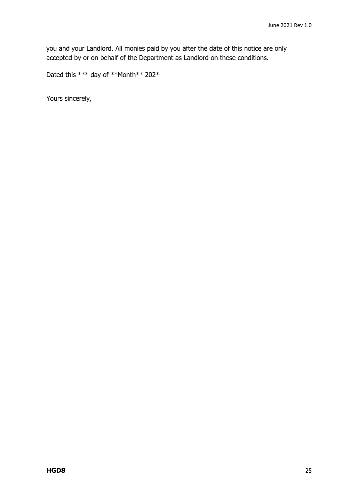you and your Landlord. All monies paid by you after the date of this notice are only accepted by or on behalf of the Department as Landlord on these conditions.

Dated this \*\*\* day of \*\*Month\*\* 202\*

Yours sincerely,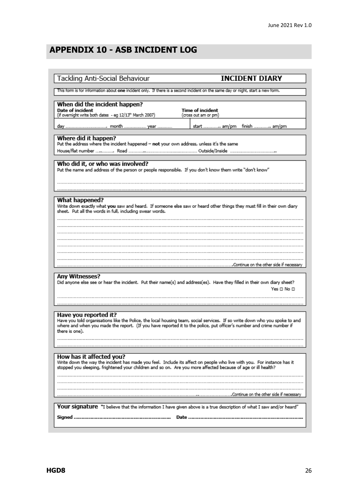## **APPENDIX 10 - ASB INCIDENT LOG**

| Tackling Anti-Social Behaviour                                                                                                                                                                                                                                      | <b>INCIDENT DIARY</b>                                                                                                       |
|---------------------------------------------------------------------------------------------------------------------------------------------------------------------------------------------------------------------------------------------------------------------|-----------------------------------------------------------------------------------------------------------------------------|
| This form is for information about one incident only. If there is a second incident on the same day or night, start a new form.                                                                                                                                     |                                                                                                                             |
| When did the incident happen?<br>Date of incident<br>(if overnight write both dates - eg 12/13 <sup>th</sup> March 2007)                                                                                                                                            | Time of incident<br>(cross out am or pm)                                                                                    |
|                                                                                                                                                                                                                                                                     | start  am/pm finish  am/pm                                                                                                  |
| Where did it happen?<br>Put the address where the incident happened - not your own address, unless it's the same                                                                                                                                                    |                                                                                                                             |
|                                                                                                                                                                                                                                                                     |                                                                                                                             |
| Who did it, or who was involved?<br>Put the name and address of the person or people responsible. If you don't know them write "don't know"                                                                                                                         |                                                                                                                             |
|                                                                                                                                                                                                                                                                     |                                                                                                                             |
| What happened?<br>sheet. Put all the words in full, including swear words.                                                                                                                                                                                          | Write down exactly what you saw and heard. If someone else saw or heard other things they must fill in their own diary      |
|                                                                                                                                                                                                                                                                     |                                                                                                                             |
|                                                                                                                                                                                                                                                                     |                                                                                                                             |
|                                                                                                                                                                                                                                                                     |                                                                                                                             |
|                                                                                                                                                                                                                                                                     |                                                                                                                             |
| Any Witnesses?<br>Did anyone else see or hear the incident. Put their name(s) and address(es). Have they filled in their own diary sheet?                                                                                                                           | Yes□No□                                                                                                                     |
|                                                                                                                                                                                                                                                                     |                                                                                                                             |
| Have you reported it?<br>where and when you made the report. (If you have reported it to the police, put officer's number and crime number if<br>there is one).                                                                                                     | Have you told organisations like the Police, the local housing team, social services. If so write down who you spoke to and |
|                                                                                                                                                                                                                                                                     |                                                                                                                             |
| How has it affected you?<br>Write down the way the incident has made you feel. Include its affect on people who live with you. For instance has it<br>stopped you sleeping, frightened your children and so on. Are you more affected because of age or ill health? |                                                                                                                             |
|                                                                                                                                                                                                                                                                     |                                                                                                                             |
|                                                                                                                                                                                                                                                                     | Your signature "I believe that the information I have given above is a true description of what I saw and/or heard"         |
| Signed                                                                                                                                                                                                                                                              | Date                                                                                                                        |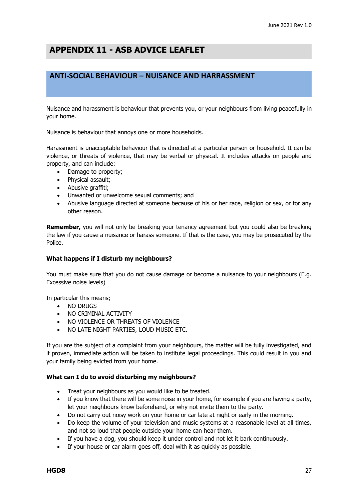### **APPENDIX 11 - ASB ADVICE LEAFLET**

#### **ANTI-SOCIAL BEHAVIOUR – NUISANCE AND HARRASSMENT**

Nuisance and harassment is behaviour that prevents you, or your neighbours from living peacefully in your home.

Nuisance is behaviour that annoys one or more households.

Harassment is unacceptable behaviour that is directed at a particular person or household. It can be violence, or threats of violence, that may be verbal or physical. It includes attacks on people and property, and can include:

- Damage to property:
- Physical assault;
- Abusive graffiti;
- Unwanted or unwelcome sexual comments; and
- Abusive language directed at someone because of his or her race, religion or sex, or for any other reason.

**Remember,** you will not only be breaking your tenancy agreement but you could also be breaking the law if you cause a nuisance or harass someone. If that is the case, you may be prosecuted by the Police.

#### **What happens if I disturb my neighbours?**

You must make sure that you do not cause damage or become a nuisance to your neighbours (E.g. Excessive noise levels)

In particular this means;

- NO DRUGS
- NO CRIMINAL ACTIVITY
- NO VIOLENCE OR THREATS OF VIOLENCE
- NO LATE NIGHT PARTIES, LOUD MUSIC ETC.

If you are the subject of a complaint from your neighbours, the matter will be fully investigated, and if proven, immediate action will be taken to institute legal proceedings. This could result in you and your family being evicted from your home.

#### **What can I do to avoid disturbing my neighbours?**

- Treat your neighbours as you would like to be treated.
- If you know that there will be some noise in your home, for example if you are having a party, let your neighbours know beforehand, or why not invite them to the party.
- Do not carry out noisy work on your home or car late at night or early in the morning.
- Do keep the volume of your television and music systems at a reasonable level at all times, and not so loud that people outside your home can hear them.
- If you have a dog, you should keep it under control and not let it bark continuously.
- If your house or car alarm goes off, deal with it as quickly as possible.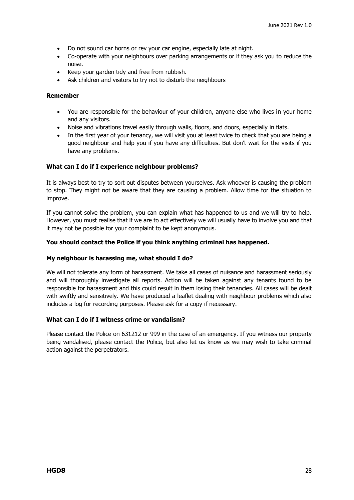- Do not sound car horns or rev your car engine, especially late at night.
- Co-operate with your neighbours over parking arrangements or if they ask you to reduce the noise.
- Keep your garden tidy and free from rubbish.
- Ask children and visitors to try not to disturb the neighbours

#### **Remember**

- You are responsible for the behaviour of your children, anyone else who lives in your home and any visitors.
- Noise and vibrations travel easily through walls, floors, and doors, especially in flats.
- In the first year of your tenancy, we will visit you at least twice to check that you are being a good neighbour and help you if you have any difficulties. But don't wait for the visits if you have any problems.

#### **What can I do if I experience neighbour problems?**

It is always best to try to sort out disputes between yourselves. Ask whoever is causing the problem to stop. They might not be aware that they are causing a problem. Allow time for the situation to improve.

If you cannot solve the problem, you can explain what has happened to us and we will try to help. However, you must realise that if we are to act effectively we will usually have to involve you and that it may not be possible for your complaint to be kept anonymous.

#### **You should contact the Police if you think anything criminal has happened.**

#### **My neighbour is harassing me, what should I do?**

We will not tolerate any form of harassment. We take all cases of nuisance and harassment seriously and will thoroughly investigate all reports. Action will be taken against any tenants found to be responsible for harassment and this could result in them losing their tenancies. All cases will be dealt with swiftly and sensitively. We have produced a leaflet dealing with neighbour problems which also includes a log for recording purposes. Please ask for a copy if necessary.

#### **What can I do if I witness crime or vandalism?**

Please contact the Police on 631212 or 999 in the case of an emergency. If you witness our property being vandalised, please contact the Police, but also let us know as we may wish to take criminal action against the perpetrators.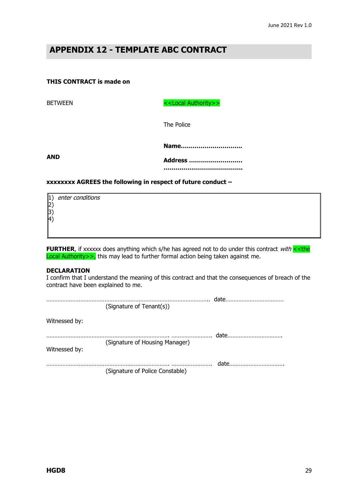### **APPENDIX 12 - TEMPLATE ABC CONTRACT**

#### **THIS CONTRACT is made on**

BETWEEN SERVICED SERVICED SERVICED SERVICED SERVICED SERVICED SERVICED SERVICED SERVICED SERVICED SERVICED SERVICED SERVICED SERVICED SERVICED SERVICED SERVICED SERVICED SERVICED SERVICED SERVICED SERVICED SERVICED SERVICE

The Police

**AND**

| Address |
|---------|
|         |

**Name………………………….**

#### **xxxxxxxx AGREES the following in respect of future conduct –**

| $ 1\rangle$ | enter conditions |  |  |  |
|-------------|------------------|--|--|--|
| $ 2\rangle$ |                  |  |  |  |
| 3)          |                  |  |  |  |
| $ 4\rangle$ |                  |  |  |  |
|             |                  |  |  |  |

**FURTHER**, if xxxxxx does anything which s/he has agreed not to do under this contract with << the Local Authority>>, this may lead to further formal action being taken against me.

#### **DECLARATION**

I confirm that I understand the meaning of this contract and that the consequences of breach of the contract have been explained to me.

|               |                                 | date  |
|---------------|---------------------------------|-------|
|               | (Signature of Tenant(s))        |       |
| Witnessed by: |                                 |       |
|               |                                 | date  |
| Witnessed by: | (Signature of Housing Manager)  |       |
|               |                                 | datel |
|               | (Signature of Police Constable) |       |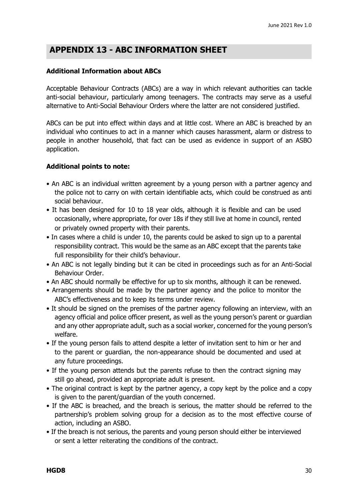### **APPENDIX 13 - ABC INFORMATION SHEET**

#### **Additional Information about ABCs**

Acceptable Behaviour Contracts (ABCs) are a way in which relevant authorities can tackle anti-social behaviour, particularly among teenagers. The contracts may serve as a useful alternative to Anti-Social Behaviour Orders where the latter are not considered justified.

ABCs can be put into effect within days and at little cost. Where an ABC is breached by an individual who continues to act in a manner which causes harassment, alarm or distress to people in another household, that fact can be used as evidence in support of an ASBO application.

#### **Additional points to note:**

- An ABC is an individual written agreement by a young person with a partner agency and the police not to carry on with certain identifiable acts, which could be construed as anti social behaviour.
- It has been designed for 10 to 18 year olds, although it is flexible and can be used occasionally, where appropriate, for over 18s if they still live at home in council, rented or privately owned property with their parents.
- In cases where a child is under 10, the parents could be asked to sign up to a parental responsibility contract. This would be the same as an ABC except that the parents take full responsibility for their child's behaviour.
- An ABC is not legally binding but it can be cited in proceedings such as for an Anti-Social Behaviour Order.
- An ABC should normally be effective for up to six months, although it can be renewed.
- Arrangements should be made by the partner agency and the police to monitor the ABC's effectiveness and to keep its terms under review.
- It should be signed on the premises of the partner agency following an interview, with an agency official and police officer present, as well as the young person's parent or guardian and any other appropriate adult, such as a social worker, concerned for the young person's welfare.
- If the young person fails to attend despite a letter of invitation sent to him or her and to the parent or guardian, the non-appearance should be documented and used at any future proceedings.
- If the young person attends but the parents refuse to then the contract signing may still go ahead, provided an appropriate adult is present.
- The original contract is kept by the partner agency, a copy kept by the police and a copy is given to the parent/guardian of the youth concerned.
- If the ABC is breached, and the breach is serious, the matter should be referred to the partnership's problem solving group for a decision as to the most effective course of action, including an ASBO.
- If the breach is not serious, the parents and young person should either be interviewed or sent a letter reiterating the conditions of the contract.